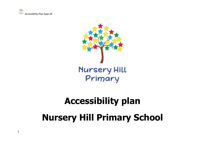



# **Accessibility plan Nursery Hill Primary School**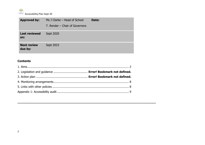

| <b>Approved by:</b>           | Ms J Clarke – Head of School<br>T. Render - Chair of Governors | Date: |
|-------------------------------|----------------------------------------------------------------|-------|
| <b>Last reviewed</b><br>on:   | Sept 2020                                                      |       |
| <b>Next review</b><br>due by: | Sept 2023                                                      |       |

## **Contents**

**…………………………………………………………………………………………………………………………….**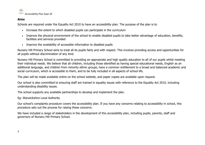

### **Aims**

Schools are required under the Equality Act 2010 to have an accessibility plan. The purpose of the plan is to:

- Increase the extent to which disabled pupils can participate in the curriculum
- Improve the physical environment of the school to enable disabled pupils to take better advantage of education, benefits, facilities and services provided
- Improve the availability of accessible information to disabled pupils

Nursery Hill Primary School aims to treat all its pupils fairly and with respect. This involves providing access and opportunities for all pupils without discrimination of any kind.

Nursery Hill Primary School is committed to providing an appropriate and high quality education to all of our pupils whilst meeting their individual needs. We believe that all children, including those identified as having special educational needs, English as an additional language, and children from minority ethnic groups, have a common entitlement to a broad and balanced academic and social curriculum, which is accessible to them, and to be fully included in all aspects of school life.

The plan will be made available online on the school website, and paper copies are available upon request.

Our school is also committed to ensuring staff are trained in equality issues with reference to the Equality Act 2010, including understanding disability issues.

The school supports any available partnerships to develop and implement the plan.

Eg: Warwickshire Local Authority

Our school's complaints procedure covers the accessibility plan. If you have any concerns relating to accessibility in school, this procedure sets out the process for raising these concerns.

We have included a range of stakeholders in the development of this accessibility plan, including pupils, parents, staff and governors of Nursery Hill Primary School.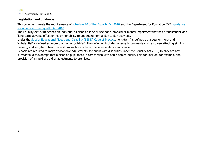

## **Legislation and guidance**

This document meets the requirements of [schedule 10 of the Equality Act 2010](http://www.legislation.gov.uk/ukpga/2010/15/schedule/10) and the Department for Education (DfE) quidance [for schools on the Equality Act 2010.](https://www.gov.uk/government/publications/equality-act-2010-advice-for-schools)

The Equality Act 2010 defines an individual as disabled if he or she has a physical or mental impairment that has a 'substantial' and 'long-term' adverse effect on his or her ability to undertake normal day to day activities.

Under the [Special Educational Needs and Disability \(SEND\) Code of Practice](https://www.gov.uk/government/publications/send-code-of-practice-0-to-25), 'long-term' is defined as 'a year or more' and 'substantial' is defined as 'more than minor or trivial'. The definition includes sensory impairments such as those affecting sight or hearing, and long-term health conditions such as asthma, diabetes, epilepsy and cancer.

Schools are required to make 'reasonable adjustments' for pupils with disabilities under the Equality Act 2010, to alleviate any substantial disadvantage that a disabled pupil faces in comparison with non-disabled pupils. This can include, for example, the provision of an auxiliary aid or adjustments to premises.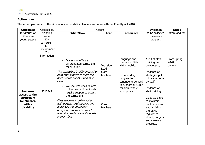

## **Action plan**

This action plan sets out the aims of our accessibility plan in accordance with the Equality Act 2010.

| <b>Outcomes</b>             | Accessibility   |                                        | <b>Actions</b> |                     | <b>Evidence</b>  | <b>Dates</b>  |
|-----------------------------|-----------------|----------------------------------------|----------------|---------------------|------------------|---------------|
| for groups of               | planning        | <b>What/How</b>                        | <b>Lead</b>    | <b>Resources</b>    | to be collected  | (from and to) |
| children and                | code            |                                        |                |                     | to measure       |               |
| young people                | $C -$           |                                        |                |                     | progress         |               |
|                             | curriculum      |                                        |                |                     |                  |               |
|                             | $E -$           |                                        |                |                     |                  |               |
|                             | Environment     |                                        |                |                     |                  |               |
|                             | $I -$           |                                        |                |                     |                  |               |
|                             | information     |                                        |                |                     |                  |               |
|                             |                 | Our school offers a                    |                | Language and        | Audit of staff   | From Spring   |
|                             |                 | differentiated curriculum              |                | Literacy toolkits   | training and     | 2020          |
|                             | for all pupils. | <b>Inclusion</b><br>Lead               | Maths toolkits | competency.         | ongoing          |               |
|                             |                 | The curriculum is differentiated by    | Class          |                     | Evidence of      |               |
|                             |                 | each class teacher to meet the         | teachers       | Lexia reading       | strategies put   |               |
|                             |                 | needs of the pupils within their       |                | program to          | into classrooms  |               |
|                             |                 | class.                                 |                | continue to be used | by staff.        |               |
|                             |                 | We use resources tailored<br>$\bullet$ |                | to support all SEND |                  |               |
|                             |                 | to the needs of pupils who             |                | children, where     | Evidence of      |               |
| <b>Increase</b>             | C, E & I        | require support to access              |                | appropriate.        | staff training.  |               |
| access to the<br>curriculum |                 | the curriculum.                        |                |                     | Class teachers   |               |
| for children                |                 | Class teachers in collaboration        |                |                     | to maintain      |               |
| with a                      |                 | with parents, professionals and        | <b>Class</b>   |                     | continuums for   |               |
| disability                  |                 | pupils will use individually           | teachers       |                     | each child on    |               |
|                             |                 | designed resources in order to         |                |                     | the SEND         |               |
|                             |                 | meet the needs of specific pupils      |                |                     | register to      |               |
|                             |                 | in their class                         |                |                     | identify targets |               |
|                             |                 |                                        |                |                     | and measure      |               |
|                             |                 |                                        |                |                     | progress.        |               |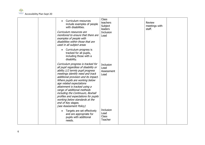

|  | Curriculum resources<br>$\bullet$<br>include examples of people<br>with disabilities.<br>Curriculum resources are<br>monitored to ensure that there are<br>examples of people with<br>disabilities within those that are<br>used in all subject areas                                                                                                                                                                                                                                     | Class<br>teachers<br>Subject<br>leaders<br><b>Inclusion</b><br>Lead | <b>Review</b><br>meetings with<br>staff. |  |
|--|-------------------------------------------------------------------------------------------------------------------------------------------------------------------------------------------------------------------------------------------------------------------------------------------------------------------------------------------------------------------------------------------------------------------------------------------------------------------------------------------|---------------------------------------------------------------------|------------------------------------------|--|
|  | Curriculum progress is<br>$\bullet$<br>tracked for all pupils,<br>including those with a<br>disability.                                                                                                                                                                                                                                                                                                                                                                                   |                                                                     |                                          |  |
|  | Curriculum progress is tracked for<br>all pupil regardless of disability or<br>ability.1/2 termly pupil progress<br>meetings identify need and track<br>additional provision and its impact.<br>Where pupils are working below<br>age related expectations<br>attainment is tracked using a<br>range of additional methods<br>including the Continuum, Boxhall<br>profiles and expectations for pupils<br>working below standards at the<br>end of Key stages.<br>(see Assessment Policy) | Inclusion<br>Lead<br>Assessment<br>Lead                             |                                          |  |
|  | Targets are set effectively<br>$\bullet$<br>and are appropriate for<br>pupils with additional<br>needs.                                                                                                                                                                                                                                                                                                                                                                                   | Inclusion<br>Lead<br><b>Class</b><br>Teacher                        |                                          |  |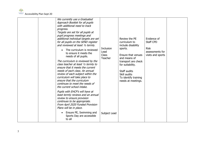

| We currently use a Graduated<br>Approach Booklet for all pupils<br>with additional need to track<br>progress.<br>Targets are set for all pupils at<br>pupil progress meetings and<br>additional individual targets are set<br>for all pupils on the SEND register<br>and reviewed at least 1/2 termly.<br>The curriculum is reviewed<br>to ensure it meets the<br>needs of all pupils.<br>The curriculum is reviewed by the<br>class teacher at least 1/2 termly to<br>ensure that it meets the current<br>needs of each class. An annual<br>review of each subject within the<br>curriculum will take place to<br>ensure that the curriculum<br>continues to meet the needs of<br>the current school intake.<br>Pupils with EHCP's will have at<br>least termly reviews and an annual<br>review to ensure provision<br>continues to be appropriate.<br>From April 2020 Funded Provision<br>Plans will be in place. | <b>Inclusion</b><br>Lead<br><b>Class</b><br><b>Teacher</b> | Review the PE<br>curriculum to<br>include disability<br>sports.<br>Ensure that venues<br>and means of<br>transport are check<br>for suitability.<br>Staff audits<br>Skill audits<br>To identify training<br>needs at meetings. | Evidence of<br><b>Staff CPD</b><br><b>Risk</b><br>assessments for<br>visits and sports |  |
|---------------------------------------------------------------------------------------------------------------------------------------------------------------------------------------------------------------------------------------------------------------------------------------------------------------------------------------------------------------------------------------------------------------------------------------------------------------------------------------------------------------------------------------------------------------------------------------------------------------------------------------------------------------------------------------------------------------------------------------------------------------------------------------------------------------------------------------------------------------------------------------------------------------------|------------------------------------------------------------|--------------------------------------------------------------------------------------------------------------------------------------------------------------------------------------------------------------------------------|----------------------------------------------------------------------------------------|--|
| Ensure PE, Swimming and<br>Sports Day are accessible<br>to all                                                                                                                                                                                                                                                                                                                                                                                                                                                                                                                                                                                                                                                                                                                                                                                                                                                      | Subject Lead                                               |                                                                                                                                                                                                                                |                                                                                        |  |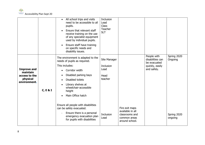

|                                                                             |          | All school trips and visits<br>$\bullet$<br>need to be accessible to all<br>pupils.<br>Ensure that relevant staff<br>$\bullet$<br>receive training on the use<br>of any specialist equipment<br>used by individual pupils.<br>Ensure staff have training<br>$\bullet$<br>on specific needs and<br>disability issues.                       | <b>Inclusion</b><br>Lead<br><b>Class</b><br>Teacher<br><b>SLT</b> |                                                                      |                                                                                   |                        |
|-----------------------------------------------------------------------------|----------|--------------------------------------------------------------------------------------------------------------------------------------------------------------------------------------------------------------------------------------------------------------------------------------------------------------------------------------------|-------------------------------------------------------------------|----------------------------------------------------------------------|-----------------------------------------------------------------------------------|------------------------|
| <b>Improve and</b><br>maintain<br>access to the<br>physical<br>environment. | C, E & I | The environment is adapted to the<br>needs of pupils as required.<br>This includes:<br>Corridor width<br>$\bullet$<br>Disabled parking bays<br>$\bullet$<br>Disabled toilets<br>Library shelves at<br>$\bullet$<br>wheelchair-accessible<br>height<br>Main Office hatch<br>Ensure all people with disabilities<br>can be safely evacuated. | Site Manager<br><b>Inclusion</b><br>Lead<br>Head<br>teacher       | Fire exit maps                                                       | People with<br>disabilities can<br>be evacuated<br>quickly, easily<br>and safely. | Spring 2020<br>Ongoing |
|                                                                             |          | Ensure there is a personal<br>emergency evacuation plan<br>for pupils with disabilities                                                                                                                                                                                                                                                    | Inclusion<br>Lead                                                 | available in all<br>classrooms and<br>common areas<br>around school. |                                                                                   | Spring 2020<br>ongoing |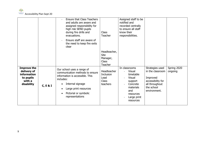

|                                                         |                     | <b>Ensure that Class Teachers</b><br>and adults are aware and<br>assigned responsibility for<br>high risk SEND pupils<br>during fire drills and<br>evacuations.<br>Ensure staff are aware of<br>the need to keep fire exits<br>clear | <b>Class</b><br>Teacher                                                                 | Assigned staff to be<br>notified and<br>recorded centrally<br>to ensure all staff<br>know their<br>responsibilities. |                                                                               |                        |
|---------------------------------------------------------|---------------------|--------------------------------------------------------------------------------------------------------------------------------------------------------------------------------------------------------------------------------------|-----------------------------------------------------------------------------------------|----------------------------------------------------------------------------------------------------------------------|-------------------------------------------------------------------------------|------------------------|
| <b>Improve the</b><br>delivery of<br><b>information</b> |                     | Our school uses a range of<br>communication methods to ensure                                                                                                                                                                        | Headteacher,<br>Site<br>Manager,<br><b>Class</b><br>Teacher<br>Headteacher<br>Inclusion | In classrooms<br><b>Visual</b><br>timetable                                                                          | Strategies used<br>in the classroom                                           | Spring 2020<br>ongoing |
| to pupils<br>with a<br>disability                       | <b>C, E &amp; I</b> | information is accessible. This<br>includes:<br>Internal signage<br>$\bullet$<br>Large print resources<br>$\bullet$<br>Pictorial or symbolic<br>$\bullet$<br>representations                                                         | Lead<br><b>Class</b><br>teachers                                                        | <b>Visual</b><br>support<br>Concrete<br>materials<br>and<br>resources<br>Large print<br>resources                    | Improved<br>accessibility for<br>all throughout<br>the school<br>environment. |                        |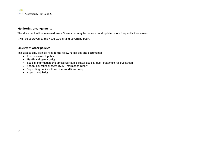

#### **Monitoring arrangements**

This document will be reviewed every **3** years but may be reviewed and updated more frequently if necessary.

It will be approved by the Head teacher and governing body.

#### **Links with other policies**

This accessibility plan is linked to the following policies and documents:

- Risk assessment policy
- Health and safety policy
- Equality information and objectives (public sector equality duty) statement for publication
- Special educational needs (SEN) information report
- Supporting pupils with medical conditions policy
- Assessment Policy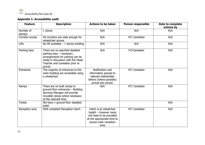

## **Appendix 1: Accessibility audit**

| <b>Feature</b>       | <b>Description</b>                                                                                                                                                              | <b>Actions to be taken</b>                                                                                                                   | <b>Person responsible</b> | Date to complete<br>actions by |
|----------------------|---------------------------------------------------------------------------------------------------------------------------------------------------------------------------------|----------------------------------------------------------------------------------------------------------------------------------------------|---------------------------|--------------------------------|
| Number of<br>storeys | 1 storey                                                                                                                                                                        | N/A                                                                                                                                          | N/A                       | N/A                            |
| Corridor access      | All corridors are wide enough for<br>wheelchair access                                                                                                                          | N/A                                                                                                                                          | HT/ Caretaker             | N/A                            |
| Lifts                | No lift available $-1$ storey building                                                                                                                                          | N/A                                                                                                                                          | N/A                       | N/A                            |
| Parking bays         | There are no specified disabled<br>parking bays - necessary<br>arrangements for parking can be<br>made in discussion with the Head<br>Teacher and Caretaker prior to<br>arrival | N/A                                                                                                                                          | HT/Caretaker              | N/A                            |
| Entrances            | The majority of entrances to the<br>main building are accessible using<br>a wheelchair.                                                                                         | Notification and<br>information passed to<br>relevant stakeholder<br>before (where possible)<br>arrival into school.                         | HT/ Caretaker             | N/A                            |
| Ramps                | There are no built ramps to<br>ground floor entrances - Building<br>Services Manager will provide<br>movable ramps where necessary<br>at the relevant time                      | N/A                                                                                                                                          | HT/ Caretaker             | N/A                            |
| <b>Toilets</b>       | We have 1 ground floor disabled<br>toilet                                                                                                                                       |                                                                                                                                              |                           | N/A                            |
| Reception area       | DDA compliant Reception hatch                                                                                                                                                   | Hatch is at wheelchair<br>height $-$ however ramp<br>will need to be provided<br>at the appropriate time to<br>access main reception<br>area | HT/ Caretaker             | N/A                            |